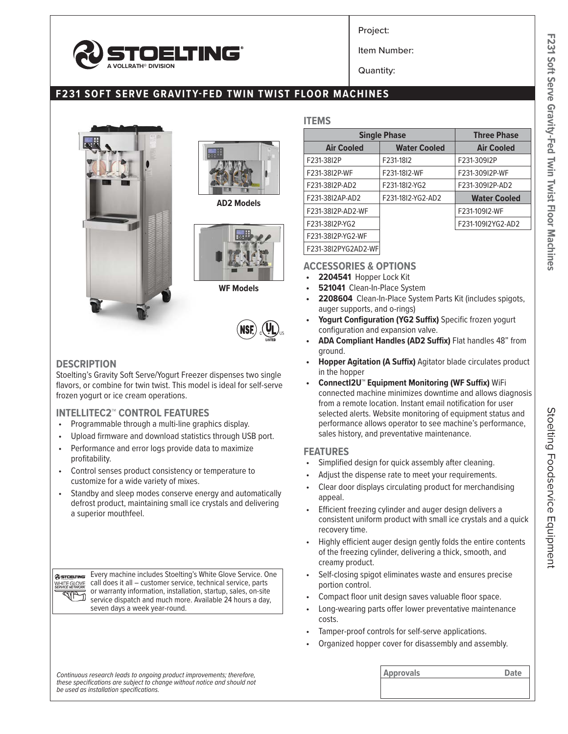

Project:

Item Number:

Quantity:

# **F231 SOFT SERVE GRAVITY-FED TWIN TWIST FLOOR MACHINES**





**AD2 Models**



**WF Models**



### **DESCRIPTION**

Stoelting's Gravity Soft Serve/Yogurt Freezer dispenses two single flavors, or combine for twin twist. This model is ideal for self-serve frozen yogurt or ice cream operations.

### **INTELLITEC2™ CONTROL FEATURES**

- Programmable through a multi-line graphics display.
- Upload firmware and download statistics through USB port.
- Performance and error logs provide data to maximize profitability.
- Control senses product consistency or temperature to customize for a wide variety of mixes.
- Standby and sleep modes conserve energy and automatically defrost product, maintaining small ice crystals and delivering a superior mouthfeel.

Every machine includes Stoelting's White Glove Service. One @STOELTING call does it all – customer service, technical service, parts WHITE GLOVE or warranty information, installation, startup, sales, on-site **KALA** service dispatch and much more. Available 24 hours a day, seven days a week year-round.

#### **ITEMS**

|                     | <b>Single Phase</b> |                     |  |  |
|---------------------|---------------------|---------------------|--|--|
| <b>Air Cooled</b>   | <b>Water Cooled</b> | <b>Air Cooled</b>   |  |  |
| F231-38I2P          | F231-1812           | F231-309I2P         |  |  |
| F231-38I2P-WF       | F231-1812-WF        | F231-309I2P-WF      |  |  |
| F231-38I2P-AD2      | F231-18I2-YG2       | F231-309I2P-AD2     |  |  |
| F231-38I2AP-AD2     | F231-18I2-YG2-AD2   | <b>Water Cooled</b> |  |  |
| F231-38I2P-AD2-WF   |                     | F231-109I2-WF       |  |  |
| F231-38I2P-YG2      |                     | F231-109I2YG2-AD2   |  |  |
| F231-38I2P-YG2-WF   |                     |                     |  |  |
| F231-38I2PYG2AD2-WF |                     |                     |  |  |

### **ACCESSORIES & OPTIONS**

- **• 2204541** Hopper Lock Kit
- **• 521041** Clean-In-Place System
- **• 2208604** Clean-In-Place System Parts Kit (includes spigots, auger supports, and o-rings)
- **• Yogurt Configuration (YG2 Suffix)** Specific frozen yogurt configuration and expansion valve.
- **• ADA Compliant Handles (AD2 Suffix)** Flat handles 48" from ground.
- **• Hopper Agitation (A Suffix)** Agitator blade circulates product in the hopper
- **• ConnectI2U™ Equipment Monitoring (WF Suffix)** WiFi connected machine minimizes downtime and allows diagnosis from a remote location. Instant email notification for user selected alerts. Website monitoring of equipment status and performance allows operator to see machine's performance, sales history, and preventative maintenance.

### **FEATURES**

- Simplified design for quick assembly after cleaning.
- Adjust the dispense rate to meet your requirements.
- Clear door displays circulating product for merchandising appeal.
- Efficient freezing cylinder and auger design delivers a consistent uniform product with small ice crystals and a quick recovery time.
- Highly efficient auger design gently folds the entire contents of the freezing cylinder, delivering a thick, smooth, and creamy product.
- Self-closing spigot eliminates waste and ensures precise portion control.
- Compact floor unit design saves valuable floor space.
- Long-wearing parts offer lower preventative maintenance costs.
- Tamper-proof controls for self-serve applications.
- Organized hopper cover for disassembly and assembly.

| Continuous research leads to ongoing product improvements; therefore,    | <b>Approvals</b> | Date |
|--------------------------------------------------------------------------|------------------|------|
| these specifications are subject to change without notice and should not |                  |      |
| be used as installation specifications.                                  |                  |      |
|                                                                          |                  |      |